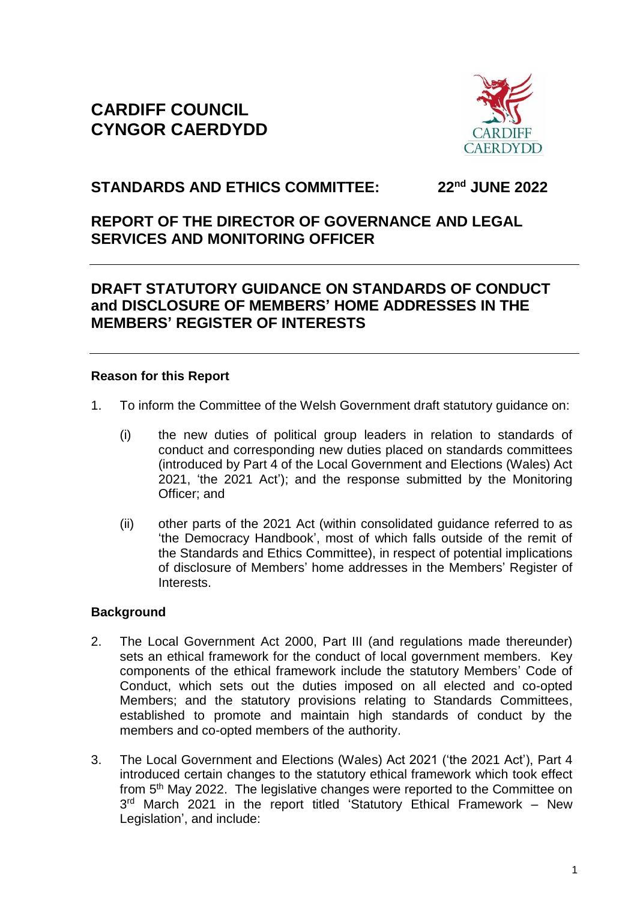# **CARDIFF COUNCIL CYNGOR CAERDYDD**



### **STANDARDS AND ETHICS COMMITTEE: 22nd JUNE 2022**

# **REPORT OF THE DIRECTOR OF GOVERNANCE AND LEGAL SERVICES AND MONITORING OFFICER**

# **DRAFT STATUTORY GUIDANCE ON STANDARDS OF CONDUCT and DISCLOSURE OF MEMBERS' HOME ADDRESSES IN THE MEMBERS' REGISTER OF INTERESTS**

### **Reason for this Report**

- 1. To inform the Committee of the Welsh Government draft statutory guidance on:
	- (i) the new duties of political group leaders in relation to standards of conduct and corresponding new duties placed on standards committees (introduced by Part 4 of the Local Government and Elections (Wales) Act 2021, 'the 2021 Act'); and the response submitted by the Monitoring Officer; and
	- (ii) other parts of the 2021 Act (within consolidated guidance referred to as 'the Democracy Handbook', most of which falls outside of the remit of the Standards and Ethics Committee), in respect of potential implications of disclosure of Members' home addresses in the Members' Register of Interests.

### **Background**

- 2. The Local Government Act 2000, Part III (and regulations made thereunder) sets an ethical framework for the conduct of local government members. Key components of the ethical framework include the statutory Members' Code of Conduct, which sets out the duties imposed on all elected and co-opted Members; and the statutory provisions relating to Standards Committees, established to promote and maintain high standards of conduct by the members and co-opted members of the authority.
- 3. The Local Government and Elections (Wales) Act 2021 ('the 2021 Act'), Part 4 introduced certain changes to the statutory ethical framework which took effect from 5th May 2022. The legislative changes were reported to the Committee on 3<sup>rd</sup> March 2021 in the report titled 'Statutory Ethical Framework - New Legislation', and include: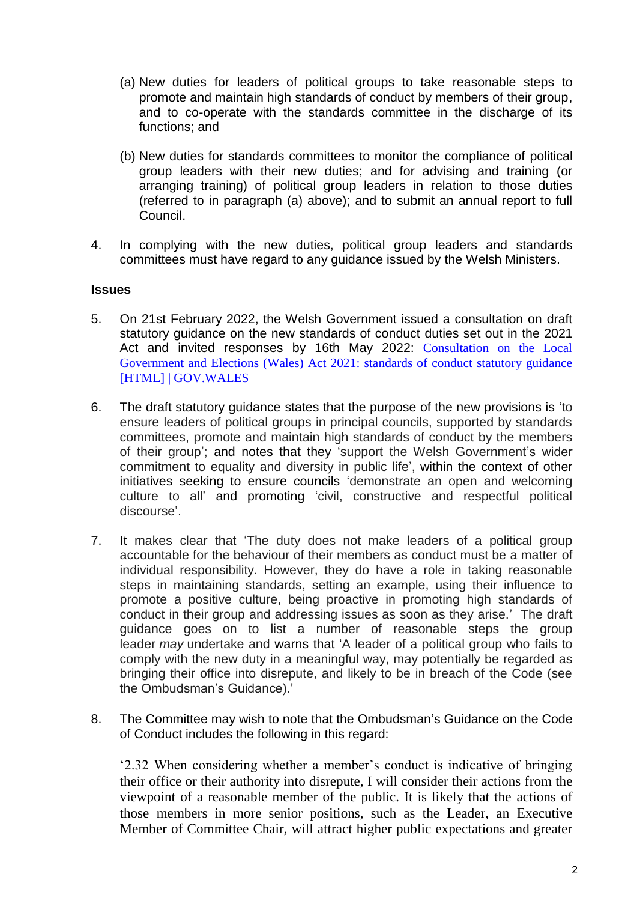- (a) New duties for leaders of political groups to take reasonable steps to promote and maintain high standards of conduct by members of their group, and to co-operate with the standards committee in the discharge of its functions; and
- (b) New duties for standards committees to monitor the compliance of political group leaders with their new duties; and for advising and training (or arranging training) of political group leaders in relation to those duties (referred to in paragraph (a) above); and to submit an annual report to full Council.
- 4. In complying with the new duties, political group leaders and standards committees must have regard to any guidance issued by the Welsh Ministers.

#### **Issues**

- 5. On 21st February 2022, the Welsh Government issued a consultation on draft statutory guidance on the new standards of conduct duties set out in the 2021 Act and invited responses by 16th May 2022: [Consultation on the Local](https://gov.wales/consultation-local-government-and-elections-wales-act-2021-standards-conduct-statutory-guidance)  [Government and Elections \(Wales\) Act 2021: standards of conduct statutory guidance](https://gov.wales/consultation-local-government-and-elections-wales-act-2021-standards-conduct-statutory-guidance)  [\[HTML\] | GOV.WALES](https://gov.wales/consultation-local-government-and-elections-wales-act-2021-standards-conduct-statutory-guidance)
- 6. The draft statutory guidance states that the purpose of the new provisions is 'to ensure leaders of political groups in principal councils, supported by standards committees, promote and maintain high standards of conduct by the members of their group'; and notes that they 'support the Welsh Government's wider commitment to equality and diversity in public life', within the context of other initiatives seeking to ensure councils 'demonstrate an open and welcoming culture to all' and promoting 'civil, constructive and respectful political discourse'.
- 7. It makes clear that 'The duty does not make leaders of a political group accountable for the behaviour of their members as conduct must be a matter of individual responsibility. However, they do have a role in taking reasonable steps in maintaining standards, setting an example, using their influence to promote a positive culture, being proactive in promoting high standards of conduct in their group and addressing issues as soon as they arise.' The draft guidance goes on to list a number of reasonable steps the group leader *may* undertake and warns that 'A leader of a political group who fails to comply with the new duty in a meaningful way, may potentially be regarded as bringing their office into disrepute, and likely to be in breach of the Code (see the Ombudsman's Guidance).'
- 8. The Committee may wish to note that the Ombudsman's Guidance on the Code of Conduct includes the following in this regard:

'2.32 When considering whether a member's conduct is indicative of bringing their office or their authority into disrepute, I will consider their actions from the viewpoint of a reasonable member of the public. It is likely that the actions of those members in more senior positions, such as the Leader, an Executive Member of Committee Chair, will attract higher public expectations and greater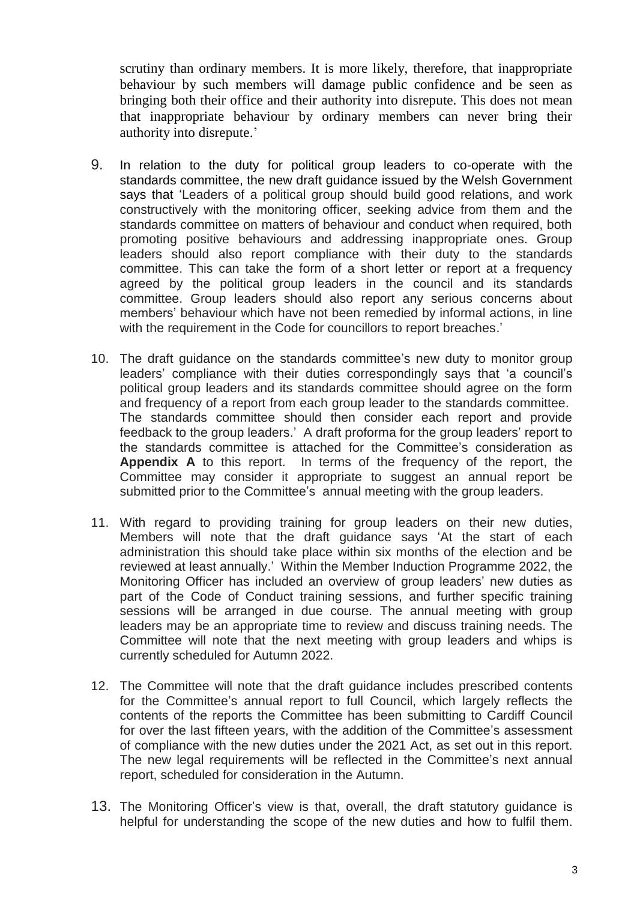scrutiny than ordinary members. It is more likely, therefore, that inappropriate behaviour by such members will damage public confidence and be seen as bringing both their office and their authority into disrepute. This does not mean that inappropriate behaviour by ordinary members can never bring their authority into disrepute.'

- 9. In relation to the duty for political group leaders to co-operate with the standards committee, the new draft guidance issued by the Welsh Government says that 'Leaders of a political group should build good relations, and work constructively with the monitoring officer, seeking advice from them and the standards committee on matters of behaviour and conduct when required, both promoting positive behaviours and addressing inappropriate ones. Group leaders should also report compliance with their duty to the standards committee. This can take the form of a short letter or report at a frequency agreed by the political group leaders in the council and its standards committee. Group leaders should also report any serious concerns about members' behaviour which have not been remedied by informal actions, in line with the requirement in the Code for councillors to report breaches.'
- 10. The draft guidance on the standards committee's new duty to monitor group leaders' compliance with their duties correspondingly says that 'a council's political group leaders and its standards committee should agree on the form and frequency of a report from each group leader to the standards committee. The standards committee should then consider each report and provide feedback to the group leaders.' A draft proforma for the group leaders' report to the standards committee is attached for the Committee's consideration as **Appendix A** to this report. In terms of the frequency of the report, the Committee may consider it appropriate to suggest an annual report be submitted prior to the Committee's annual meeting with the group leaders.
- 11. With regard to providing training for group leaders on their new duties, Members will note that the draft guidance says 'At the start of each administration this should take place within six months of the election and be reviewed at least annually.' Within the Member Induction Programme 2022, the Monitoring Officer has included an overview of group leaders' new duties as part of the Code of Conduct training sessions, and further specific training sessions will be arranged in due course. The annual meeting with group leaders may be an appropriate time to review and discuss training needs. The Committee will note that the next meeting with group leaders and whips is currently scheduled for Autumn 2022.
- 12. The Committee will note that the draft guidance includes prescribed contents for the Committee's annual report to full Council, which largely reflects the contents of the reports the Committee has been submitting to Cardiff Council for over the last fifteen years, with the addition of the Committee's assessment of compliance with the new duties under the 2021 Act, as set out in this report. The new legal requirements will be reflected in the Committee's next annual report, scheduled for consideration in the Autumn.
- 13. The Monitoring Officer's view is that, overall, the draft statutory guidance is helpful for understanding the scope of the new duties and how to fulfil them.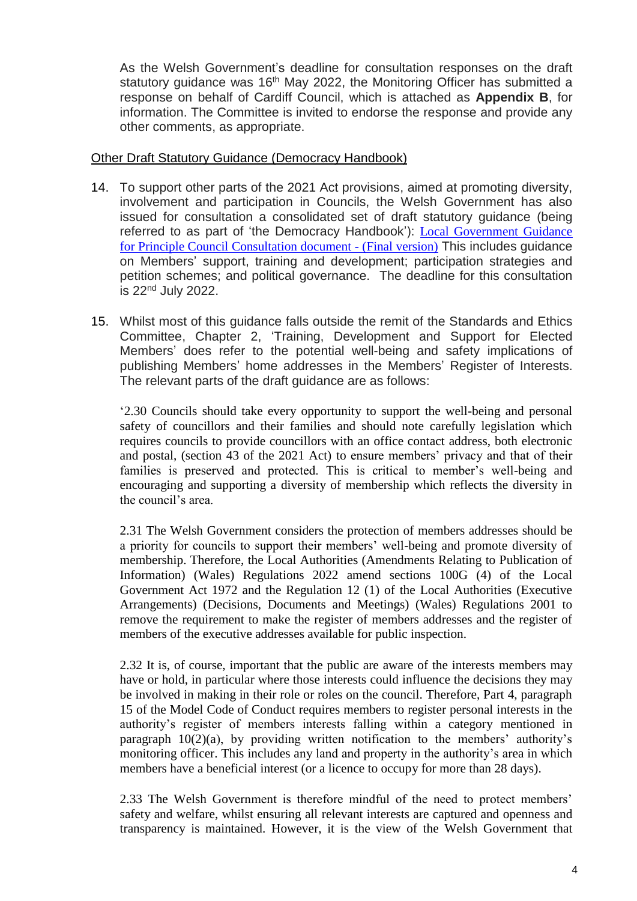As the Welsh Government's deadline for consultation responses on the draft statutory guidance was 16<sup>th</sup> May 2022, the Monitoring Officer has submitted a response on behalf of Cardiff Council, which is attached as **Appendix B**, for information. The Committee is invited to endorse the response and provide any other comments, as appropriate.

#### Other Draft Statutory Guidance (Democracy Handbook)

- 14. To support other parts of the 2021 Act provisions, aimed at promoting diversity, involvement and participation in Councils, the Welsh Government has also issued for consultation a consolidated set of draft statutory guidance (being referred to as part of 'the Democracy Handbook'): [Local Government Guidance](https://gov.wales/sites/default/files/consultations/2022-03/consultation-document-wg44742.pdf)  [for Principle Council Consultation document -](https://gov.wales/sites/default/files/consultations/2022-03/consultation-document-wg44742.pdf) (Final version) This includes guidance on Members' support, training and development; participation strategies and petition schemes; and political governance. The deadline for this consultation is 22nd July 2022.
- 15. Whilst most of this guidance falls outside the remit of the Standards and Ethics Committee, Chapter 2, 'Training, Development and Support for Elected Members' does refer to the potential well-being and safety implications of publishing Members' home addresses in the Members' Register of Interests. The relevant parts of the draft guidance are as follows:

'2.30 Councils should take every opportunity to support the well-being and personal safety of councillors and their families and should note carefully legislation which requires councils to provide councillors with an office contact address, both electronic and postal, (section 43 of the 2021 Act) to ensure members' privacy and that of their families is preserved and protected. This is critical to member's well-being and encouraging and supporting a diversity of membership which reflects the diversity in the council's area.

2.31 The Welsh Government considers the protection of members addresses should be a priority for councils to support their members' well-being and promote diversity of membership. Therefore, the Local Authorities (Amendments Relating to Publication of Information) (Wales) Regulations 2022 amend sections 100G (4) of the Local Government Act 1972 and the Regulation 12 (1) of the Local Authorities (Executive Arrangements) (Decisions, Documents and Meetings) (Wales) Regulations 2001 to remove the requirement to make the register of members addresses and the register of members of the executive addresses available for public inspection.

2.32 It is, of course, important that the public are aware of the interests members may have or hold, in particular where those interests could influence the decisions they may be involved in making in their role or roles on the council. Therefore, Part 4, paragraph 15 of the Model Code of Conduct requires members to register personal interests in the authority's register of members interests falling within a category mentioned in paragraph 10(2)(a), by providing written notification to the members' authority's monitoring officer. This includes any land and property in the authority's area in which members have a beneficial interest (or a licence to occupy for more than 28 days).

2.33 The Welsh Government is therefore mindful of the need to protect members' safety and welfare, whilst ensuring all relevant interests are captured and openness and transparency is maintained. However, it is the view of the Welsh Government that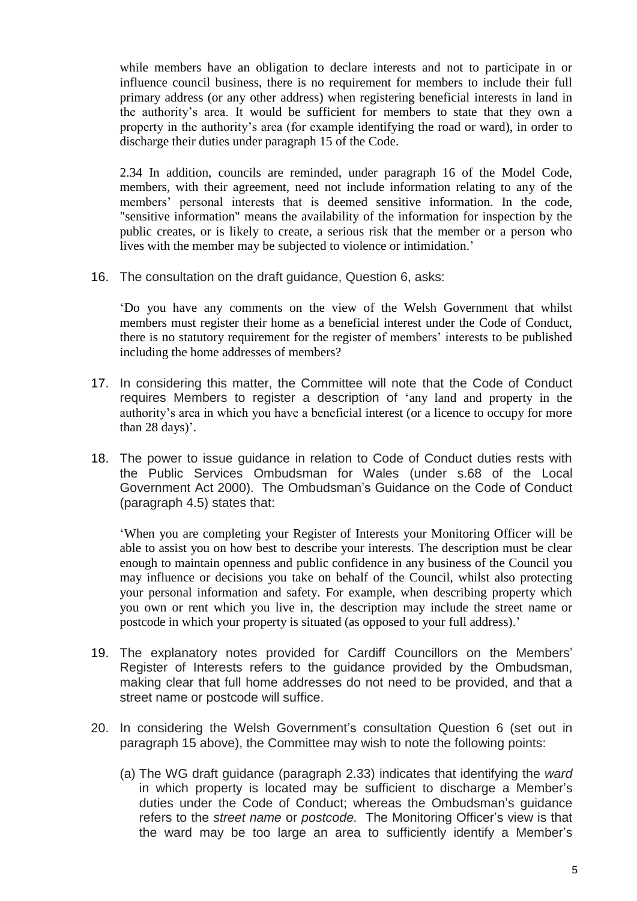while members have an obligation to declare interests and not to participate in or influence council business, there is no requirement for members to include their full primary address (or any other address) when registering beneficial interests in land in the authority's area. It would be sufficient for members to state that they own a property in the authority's area (for example identifying the road or ward), in order to discharge their duties under paragraph 15 of the Code.

2.34 In addition, councils are reminded, under paragraph 16 of the Model Code, members, with their agreement, need not include information relating to any of the members' personal interests that is deemed sensitive information. In the code, "sensitive information" means the availability of the information for inspection by the public creates, or is likely to create, a serious risk that the member or a person who lives with the member may be subjected to violence or intimidation.'

16. The consultation on the draft guidance, Question 6, asks:

'Do you have any comments on the view of the Welsh Government that whilst members must register their home as a beneficial interest under the Code of Conduct, there is no statutory requirement for the register of members' interests to be published including the home addresses of members?

- 17. In considering this matter, the Committee will note that the Code of Conduct requires Members to register a description of 'any land and property in the authority's area in which you have a beneficial interest (or a licence to occupy for more than 28 days)'.
- 18. The power to issue guidance in relation to Code of Conduct duties rests with the Public Services Ombudsman for Wales (under s.68 of the Local Government Act 2000). The Ombudsman's Guidance on the Code of Conduct (paragraph 4.5) states that:

'When you are completing your Register of Interests your Monitoring Officer will be able to assist you on how best to describe your interests. The description must be clear enough to maintain openness and public confidence in any business of the Council you may influence or decisions you take on behalf of the Council, whilst also protecting your personal information and safety. For example, when describing property which you own or rent which you live in, the description may include the street name or postcode in which your property is situated (as opposed to your full address).'

- 19. The explanatory notes provided for Cardiff Councillors on the Members' Register of Interests refers to the guidance provided by the Ombudsman, making clear that full home addresses do not need to be provided, and that a street name or postcode will suffice.
- 20. In considering the Welsh Government's consultation Question 6 (set out in paragraph 15 above), the Committee may wish to note the following points:
	- (a) The WG draft guidance (paragraph 2.33) indicates that identifying the *ward* in which property is located may be sufficient to discharge a Member's duties under the Code of Conduct; whereas the Ombudsman's guidance refers to the *street name* or *postcode.* The Monitoring Officer's view is that the ward may be too large an area to sufficiently identify a Member's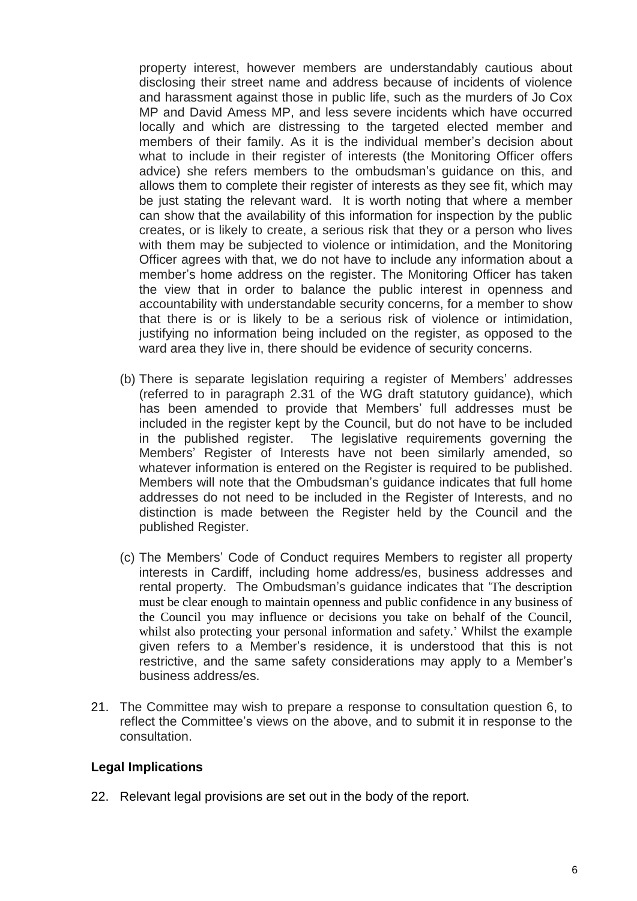property interest, however members are understandably cautious about disclosing their street name and address because of incidents of violence and harassment against those in public life, such as the murders of Jo Cox MP and David Amess MP, and less severe incidents which have occurred locally and which are distressing to the targeted elected member and members of their family. As it is the individual member's decision about what to include in their register of interests (the Monitoring Officer offers advice) she refers members to the ombudsman's guidance on this, and allows them to complete their register of interests as they see fit, which may be just stating the relevant ward. It is worth noting that where a member can show that the availability of this information for inspection by the public creates, or is likely to create, a serious risk that they or a person who lives with them may be subjected to violence or intimidation, and the Monitoring Officer agrees with that, we do not have to include any information about a member's home address on the register. The Monitoring Officer has taken the view that in order to balance the public interest in openness and accountability with understandable security concerns, for a member to show that there is or is likely to be a serious risk of violence or intimidation, justifying no information being included on the register, as opposed to the ward area they live in, there should be evidence of security concerns.

- (b) There is separate legislation requiring a register of Members' addresses (referred to in paragraph 2.31 of the WG draft statutory guidance), which has been amended to provide that Members' full addresses must be included in the register kept by the Council, but do not have to be included in the published register. The legislative requirements governing the Members' Register of Interests have not been similarly amended, so whatever information is entered on the Register is required to be published. Members will note that the Ombudsman's guidance indicates that full home addresses do not need to be included in the Register of Interests, and no distinction is made between the Register held by the Council and the published Register.
- (c) The Members' Code of Conduct requires Members to register all property interests in Cardiff, including home address/es, business addresses and rental property. The Ombudsman's guidance indicates that 'The description must be clear enough to maintain openness and public confidence in any business of the Council you may influence or decisions you take on behalf of the Council, whilst also protecting your personal information and safety.' Whilst the example given refers to a Member's residence, it is understood that this is not restrictive, and the same safety considerations may apply to a Member's business address/es.
- 21. The Committee may wish to prepare a response to consultation question 6, to reflect the Committee's views on the above, and to submit it in response to the consultation.

#### **Legal Implications**

22. Relevant legal provisions are set out in the body of the report.